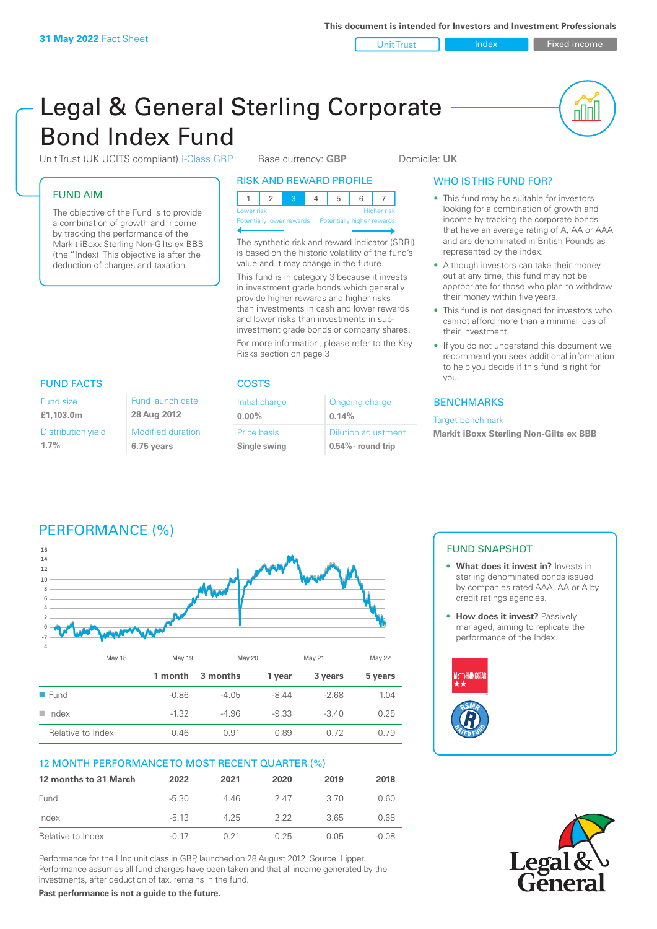Unit Trust Index Fixed income

ul U

# Legal & General Sterling Corporate Bond Index Fund

Unit Trust (UK UCITS compliant) I-Class GBP Base currency: **GBP** Domicile: UK

# FUND AIM

The objective of the Fund is to provide a combination of growth and income by tracking the performance of the Markit iBoxx Sterling Non-Gilts ex BBB (the "Index). This objective is after the deduction of charges and taxation.

> Modified duration **6.75 years**

Fund launch date **28 Aug 2012**

# RISK AND REWARD PROFILE

| Lower risk |  |  |  | <b>Higher risk</b> |
|------------|--|--|--|--------------------|

**Itially lower rewards** 

The synthetic risk and reward indicator (SRRI) is based on the historic volatility of the fund's value and it may change in the future. This fund is in category 3 because it invests in investment grade bonds which generally provide higher rewards and higher risks than investments in cash and lower rewards and lower risks than investments in subinvestment grade bonds or company shares. For more information, please refer to the Key Risks section on page 3.

# FUND FACTS COSTS

| Initial charge     | Ongoing charge             |
|--------------------|----------------------------|
| $0.00\%$           | 0.14%                      |
| <b>Price basis</b> | <b>Dilution adjustment</b> |
| Single swing       | $0.54\%$ - round trip      |

# WHO IS THIS FUND FOR?

- This fund may be suitable for investors looking for a combination of growth and income by tracking the corporate bonds that have an average rating of A, AA or AAA and are denominated in British Pounds as represented by the index.
- Although investors can take their money out at any time, this fund may not be appropriate for those who plan to withdraw their money within five years.
- This fund is not designed for investors who cannot afford more than a minimal loss of their investment.
- If you do not understand this document we recommend you seek additional information to help you decide if this fund is right for you.

# BENCHMARKS

Target benchmark

**Markit iBoxx Sterling Non-Gilts ex BBB**

Fund size **£1,103.0m**

**1.7%**

Distribution yield

# PERFORMANCE (%)



# 12 MONTH PERFORMANCE TO MOST RECENT QUARTER (%)

| 12 months to 31 March | 2022    | 2021 | 2020 | 2019  | 2018  |
|-----------------------|---------|------|------|-------|-------|
| Fund                  | $-5.30$ | 446  | 247  | -3.70 | 0.60  |
| Index                 | $-513$  | 4.25 | 222  | 365   | 0.68  |
| Relative to Index     | $-0.17$ | O 21 | 0.25 | O 05  | -0.08 |

Performance for the I Inc unit class in GBP, launched on 28 August 2012. Source: Lipper. Performance assumes all fund charges have been taken and that all income generated by the investments, after deduction of tax, remains in the fund.

**Past performance is not a guide to the future.**

# FUND SNAPSHOT

- **• What does it invest in?** Invests in sterling denominated bonds issued by companies rated AAA, AA or A by credit ratings agencies.
- **How does it invest?** Passively managed, aiming to replicate the performance of the Index.



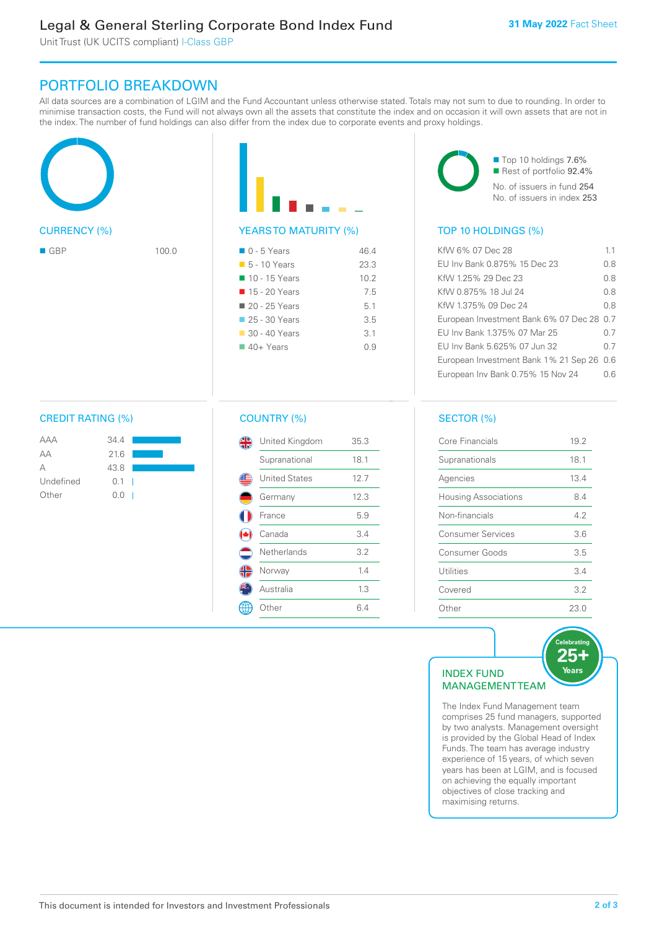Unit Trust (UK UCITS compliant) I-Class GBP

# PORTFOLIO BREAKDOWN

All data sources are a combination of LGIM and the Fund Accountant unless otherwise stated. Totals may not sum to due to rounding. In order to minimise transaction costs, the Fund will not always own all the assets that constitute the index and on occasion it will own assets that are not in the index. The number of fund holdings can also differ from the index due to corporate events and proxy holdings.





# YEARS TO MATURITY (%)

| $\Box$ 0 - 5 Years          | 46.4 |
|-----------------------------|------|
| $\blacksquare$ 5 - 10 Years | 23.3 |
| ■ 10 - 15 Years             | 10.2 |
| ■ 15 - 20 Years             | 7.5  |
| ■ 20 - 25 Years             | 5.1  |
| $\Box$ 25 - 30 Years        | 35   |
| $\Box$ 30 - 40 Years        | 3.1  |
| $40+Years$                  | 09   |
|                             |      |



■ Top 10 holdings 7.6% Rest of portfolio 92.4%

No. of issuers in fund 254 No. of issuers in index 253

# TOP 10 HOLDINGS (%)

| $\blacksquare$ GBP | 100.0 | $\blacksquare$ 0 - 5 Years  | 46.4 | KfW 6% 07 Dec 28                          | 1.1 |
|--------------------|-------|-----------------------------|------|-------------------------------------------|-----|
|                    |       | $\blacksquare$ 5 - 10 Years | 23.3 | EU Inv Bank 0.875% 15 Dec 23              | 0.8 |
|                    |       | ■ 10 - 15 Years             | 10.2 | KfW 1.25% 29 Dec 23                       | 0.8 |
|                    |       | ■ 15 - 20 Years             | 7.5  | KfW 0.875% 18 Jul 24                      | 0.8 |
|                    |       | ■ 20 - 25 Years             | 5.1  | KfW 1.375% 09 Dec 24                      | 0.8 |
|                    |       | 25 - 30 Years               | 3.5  | European Investment Bank 6% 07 Dec 28 0.7 |     |
|                    |       | ■ 30 - 40 Years             | 3.1  | EU Inv Bank 1.375% 07 Mar 25              | 0.7 |
|                    |       | $40+ Years$                 | 0.9  | EU Inv Bank 5.625% 07 Jun 32              | 0.7 |
|                    |       |                             |      | European Investment Bank 1% 21 Sep 26 0.6 |     |
|                    |       |                             |      | European Inv Bank 0.75% 15 Nov 24         | 0.6 |
|                    |       |                             |      |                                           |     |

# CREDIT RATING (%)

| AAA       | 34.4          |  |
|-----------|---------------|--|
| АA        | 21.6          |  |
| А         | 43.8          |  |
| Undefined | $0.1 \quad  $ |  |
| Other     | 0.0           |  |

# COUNTRY (%)

| United Kingdom       | 35.3 |
|----------------------|------|
| Supranational        | 18.1 |
| <b>United States</b> | 12.7 |
| Germany              | 12.3 |
| France               | 5.9  |
| Canada               | 3.4  |
| Netherlands          | 3.2  |
| Norway               | 1.4  |
| Australia            | 1.3  |
| )ther                | 6.4  |

# SECTOR (%)

| Core Financials             | 19.2 |
|-----------------------------|------|
| Supranationals              | 18.1 |
| Agencies                    | 13.4 |
| <b>Housing Associations</b> | 8.4  |
| Non-financials              | 4.2  |
| <b>Consumer Services</b>    | 3.6  |
| Consumer Goods              | 3.5  |
| Utilities                   | 34   |
| Covered                     | 3.2  |
| Other                       | 23.0 |

# INDEX FUND MANAGEMENT TEAM

The Index Fund Management team comprises 25 fund managers, supported by two analysts. Management oversight is provided by the Global Head of Index Funds. The team has average industry experience of 15 years, of which seven years has been at LGIM, and is focused on achieving the equally important objectives of close tracking and maximising returns.

**elebratir** 25+ Years